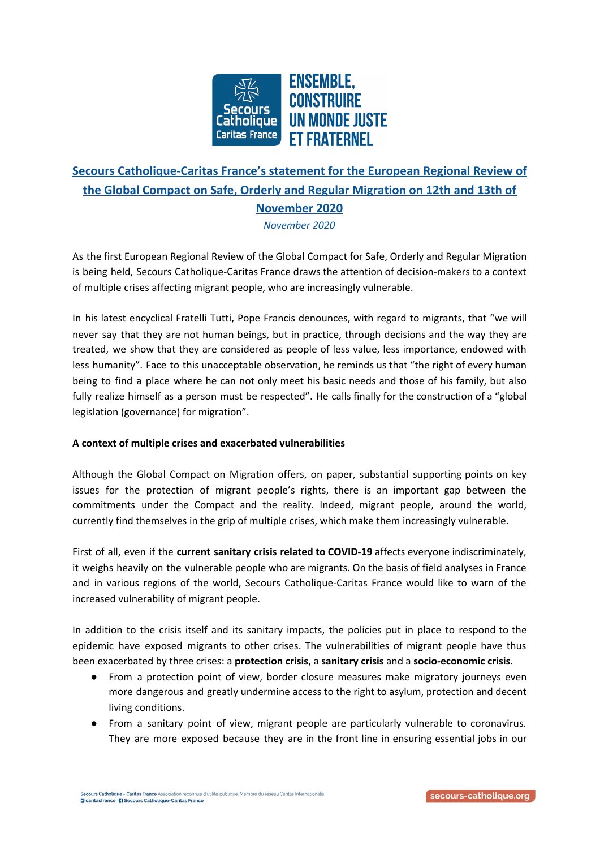

## **Secours Catholique-Caritas France's statement for the European Regional Review of the Global Compact on Safe, Orderly and Regular Migration on 12th and 13th of November 2020**

*November 2020*

As the first European Regional Review of the Global Compact for Safe, Orderly and Regular Migration is being held, Secours Catholique-Caritas France draws the attention of decision-makers to a context of multiple crises affecting migrant people, who are increasingly vulnerable.

In his latest encyclical Fratelli Tutti, Pope Francis denounces, with regard to migrants, that "we will never say that they are not human beings, but in practice, through decisions and the way they are treated, we show that they are considered as people of less value, less importance, endowed with less humanity". Face to this unacceptable observation, he reminds us that "the right of every human being to find a place where he can not only meet his basic needs and those of his family, but also fully realize himself as a person must be respected". He calls finally for the construction of a "global legislation (governance) for migration".

## **A context of multiple crises and exacerbated vulnerabilities**

Although the Global Compact on Migration offers, on paper, substantial supporting points on key issues for the protection of migrant people's rights, there is an important gap between the commitments under the Compact and the reality. Indeed, migrant people, around the world, currently find themselves in the grip of multiple crises, which make them increasingly vulnerable.

First of all, even if the **current sanitary crisis related to COVID-19** affects everyone indiscriminately, it weighs heavily on the vulnerable people who are migrants. On the basis of field analyses in France and in various regions of the world, Secours Catholique-Caritas France would like to warn of the increased vulnerability of migrant people.

In addition to the crisis itself and its sanitary impacts, the policies put in place to respond to the epidemic have exposed migrants to other crises. The vulnerabilities of migrant people have thus been exacerbated by three crises: a **protection crisis**, a **sanitary crisis** and a **socio-economic crisis**.

- From a protection point of view, border closure measures make migratory journeys even more dangerous and greatly undermine access to the right to asylum, protection and decent living conditions.
- From a sanitary point of view, migrant people are particularly vulnerable to coronavirus. They are more exposed because they are in the front line in ensuring essential jobs in our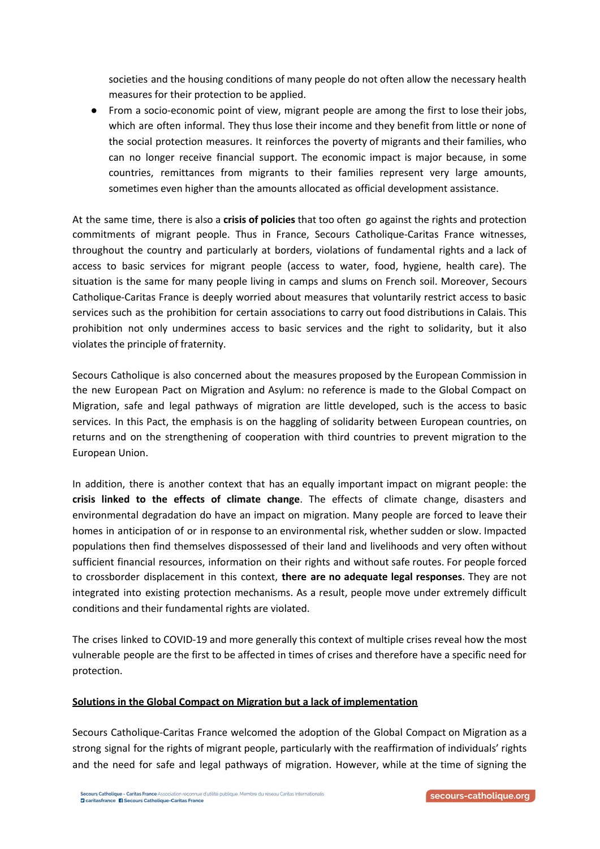societies and the housing conditions of many people do not often allow the necessary health measures for their protection to be applied.

● From a socio-economic point of view, migrant people are among the first to lose their jobs, which are often informal. They thus lose their income and they benefit from little or none of the social protection measures. It reinforces the poverty of migrants and their families, who can no longer receive financial support. The economic impact is major because, in some countries, remittances from migrants to their families represent very large amounts, sometimes even higher than the amounts allocated as official development assistance.

At the same time, there is also a **crisis of policies** that too often go against the rights and protection commitments of migrant people. Thus in France, Secours Catholique-Caritas France witnesses, throughout the country and particularly at borders, violations of fundamental rights and a lack of access to basic services for migrant people (access to water, food, hygiene, health care). The situation is the same for many people living in camps and slums on French soil. Moreover, Secours Catholique-Caritas France is deeply worried about measures that voluntarily restrict access to basic services such as the prohibition for certain associations to carry out food distributions in Calais. This prohibition not only undermines access to basic services and the right to solidarity, but it also violates the principle of fraternity.

Secours Catholique is also concerned about the measures proposed by the European Commission in the new European Pact on Migration and Asylum: no reference is made to the Global Compact on Migration, safe and legal pathways of migration are little developed, such is the access to basic services. In this Pact, the emphasis is on the haggling of solidarity between European countries, on returns and on the strengthening of cooperation with third countries to prevent migration to the European Union.

In addition, there is another context that has an equally important impact on migrant people: the **crisis linked to the effects of climate change**. The effects of climate change, disasters and environmental degradation do have an impact on migration. Many people are forced to leave their homes in anticipation of or in response to an environmental risk, whether sudden or slow. Impacted populations then find themselves dispossessed of their land and livelihoods and very often without sufficient financial resources, information on their rights and without safe routes. For people forced to crossborder displacement in this context, **there are no adequate legal responses**. They are not integrated into existing protection mechanisms. As a result, people move under extremely difficult conditions and their fundamental rights are violated.

The crises linked to COVID-19 and more generally this context of multiple crises reveal how the most vulnerable people are the first to be affected in times of crises and therefore have a specific need for protection.

## **Solutions in the Global Compact on Migration but a lack of implementation**

Secours Catholique-Caritas France welcomed the adoption of the Global Compact on Migration as a strong signal for the rights of migrant people, particularly with the reaffirmation of individuals' rights and the need for safe and legal pathways of migration. However, while at the time of signing the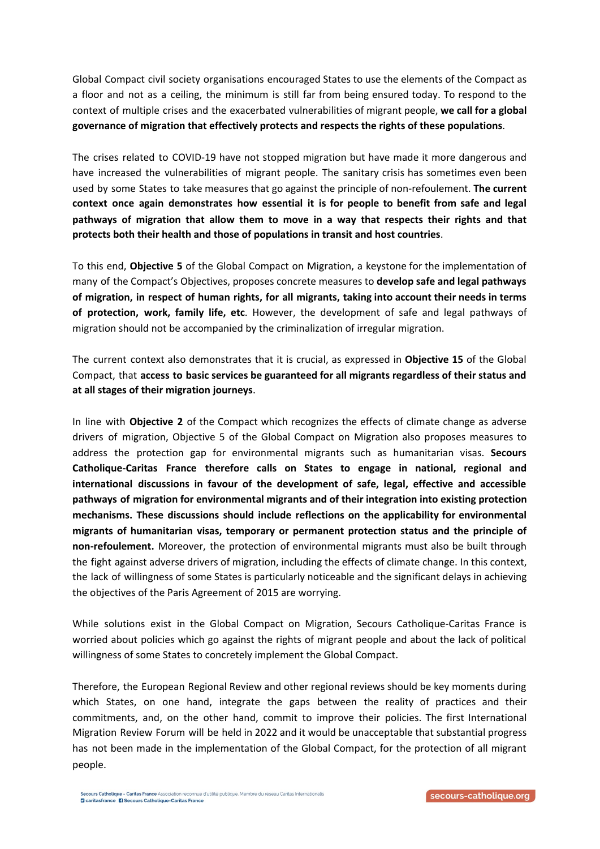Global Compact civil society organisations encouraged States to use the elements of the Compact as a floor and not as a ceiling, the minimum is still far from being ensured today. To respond to the context of multiple crises and the exacerbated vulnerabilities of migrant people, **we call for a global governance of migration that effectively protects and respects the rights of these populations**.

The crises related to COVID-19 have not stopped migration but have made it more dangerous and have increased the vulnerabilities of migrant people. The sanitary crisis has sometimes even been used by some States to take measures that go against the principle of non-refoulement. **The current context once again demonstrates how essential it is for people to benefit from safe and legal pathways of migration that allow them to move in a way that respects their rights and that protects both their health and those of populations in transit and host countries**.

To this end, **Objective 5** of the Global Compact on Migration, a keystone for the implementation of many of the Compact's Objectives, proposes concrete measures to **develop safe and legal pathways of migration, in respect of human rights, for all migrants, taking into account their needs in terms of protection, work, family life, etc**. However, the development of safe and legal pathways of migration should not be accompanied by the criminalization of irregular migration.

The current context also demonstrates that it is crucial, as expressed in **Objective 15** of the Global Compact, that **access to basic services be guaranteed for all migrants regardless of their status and at all stages of their migration journeys**.

In line with **Objective 2** of the Compact which recognizes the effects of climate change as adverse drivers of migration, Objective 5 of the Global Compact on Migration also proposes measures to address the protection gap for environmental migrants such as humanitarian visas. **Secours Catholique-Caritas France therefore calls on States to engage in national, regional and international discussions in favour of the development of safe, legal, effective and accessible pathways of migration for environmental migrants and of their integration into existing protection mechanisms. These discussions should include reflections on the applicability for environmental migrants of humanitarian visas, temporary or permanent protection status and the principle of non-refoulement.** Moreover, the protection of environmental migrants must also be built through the fight against adverse drivers of migration, including the effects of climate change. In this context, the lack of willingness of some States is particularly noticeable and the significant delays in achieving the objectives of the Paris Agreement of 2015 are worrying.

While solutions exist in the Global Compact on Migration, Secours Catholique-Caritas France is worried about policies which go against the rights of migrant people and about the lack of political willingness of some States to concretely implement the Global Compact.

Therefore, the European Regional Review and other regional reviews should be key moments during which States, on one hand, integrate the gaps between the reality of practices and their commitments, and, on the other hand, commit to improve their policies. The first International Migration Review Forum will be held in 2022 and it would be unacceptable that substantial progress has not been made in the implementation of the Global Compact, for the protection of all migrant people.